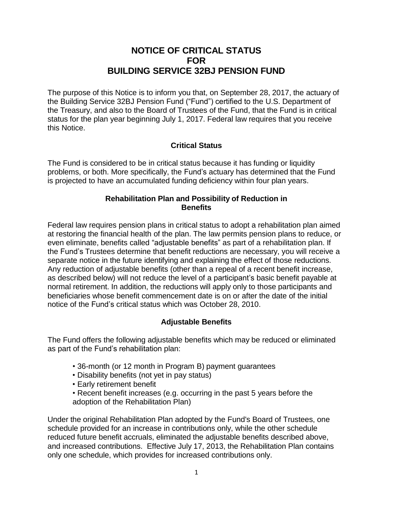# **NOTICE OF CRITICAL STATUS FOR BUILDING SERVICE 32BJ PENSION FUND**

The purpose of this Notice is to inform you that, on September 28, 2017, the actuary of the Building Service 32BJ Pension Fund ("Fund") certified to the U.S. Department of the Treasury, and also to the Board of Trustees of the Fund, that the Fund is in critical status for the plan year beginning July 1, 2017. Federal law requires that you receive this Notice.

### **Critical Status**

The Fund is considered to be in critical status because it has funding or liquidity problems, or both. More specifically, the Fund's actuary has determined that the Fund is projected to have an accumulated funding deficiency within four plan years.

#### **Rehabilitation Plan and Possibility of Reduction in Benefits**

Federal law requires pension plans in critical status to adopt a rehabilitation plan aimed at restoring the financial health of the plan. The law permits pension plans to reduce, or even eliminate, benefits called "adjustable benefits" as part of a rehabilitation plan. If the Fund's Trustees determine that benefit reductions are necessary, you will receive a separate notice in the future identifying and explaining the effect of those reductions. Any reduction of adjustable benefits (other than a repeal of a recent benefit increase, as described below) will not reduce the level of a participant's basic benefit payable at normal retirement. In addition, the reductions will apply only to those participants and beneficiaries whose benefit commencement date is on or after the date of the initial notice of the Fund's critical status which was October 28, 2010.

#### **Adjustable Benefits**

The Fund offers the following adjustable benefits which may be reduced or eliminated as part of the Fund's rehabilitation plan:

- 36-month (or 12 month in Program B) payment guarantees
- Disability benefits (not yet in pay status)
- Early retirement benefit
- Recent benefit increases (e.g. occurring in the past 5 years before the adoption of the Rehabilitation Plan)

Under the original Rehabilitation Plan adopted by the Fund's Board of Trustees, one schedule provided for an increase in contributions only, while the other schedule reduced future benefit accruals, eliminated the adjustable benefits described above, and increased contributions. Effective July 17, 2013, the Rehabilitation Plan contains only one schedule, which provides for increased contributions only.